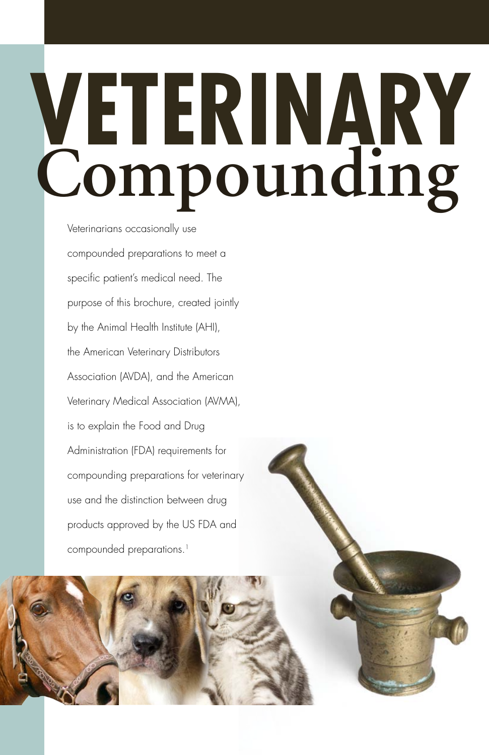# **Compounding Veterinary**

Veterinarians occasionally use compounded preparations to meet a specific patient's medical need. The purpose of this brochure, created jointly by the Animal Health Institute (AHI), the American Veterinary Distributors Association (AVDA), and the American Veterinary Medical Association (AVMA), is to explain the Food and Drug Administration (FDA) requirements for compounding preparations for veterinary use and the distinction between drug products approved by the US FDA and compounded preparations.<sup>1</sup>



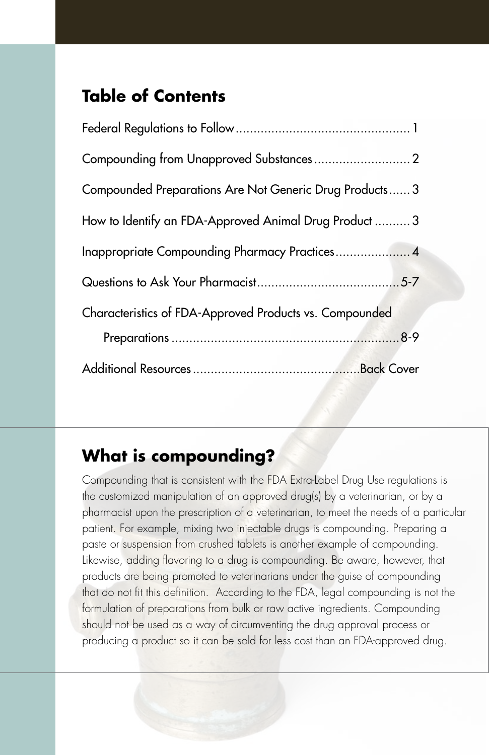## **Table of Contents**

| Compounded Preparations Are Not Generic Drug Products 3 |  |
|---------------------------------------------------------|--|
| How to Identify an FDA-Approved Animal Drug Product 3   |  |
|                                                         |  |
|                                                         |  |
| Characteristics of FDA-Approved Products vs. Compounded |  |
|                                                         |  |
|                                                         |  |

## **What is compounding?**

Compounding that is consistent with the FDA Extra-Label Drug Use regulations is the customized manipulation of an approved drug(s) by a veterinarian, or by a pharmacist upon the prescription of a veterinarian, to meet the needs of a particular patient. For example, mixing two injectable drugs is compounding. Preparing a paste or suspension from crushed tablets is another example of compounding. Likewise, adding flavoring to a drug is compounding. Be aware, however, that products are being promoted to veterinarians under the guise of compounding that do not fit this definition. According to the FDA, legal compounding is not the formulation of preparations from bulk or raw active ingredients. Compounding should not be used as a way of circumventing the drug approval process or producing a product so it can be sold for less cost than an FDA-approved drug.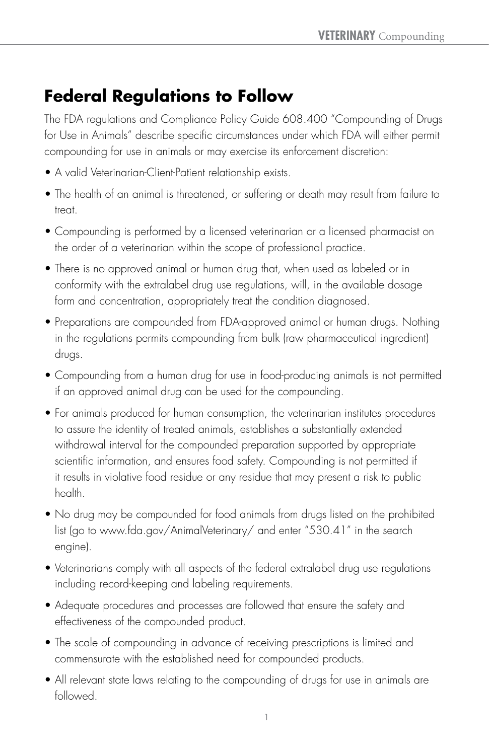# **Federal Regulations to Follow**

The FDA regulations and Compliance Policy Guide 608.400 "Compounding of Drugs for Use in Animals" describe specific circumstances under which FDA will either permit compounding for use in animals or may exercise its enforcement discretion:

- A valid Veterinarian-Client-Patient relationship exists.
- The health of an animal is threatened, or suffering or death may result from failure to treat.
- Compounding is performed by a licensed veterinarian or a licensed pharmacist on the order of a veterinarian within the scope of professional practice.
- There is no approved animal or human drug that, when used as labeled or in conformity with the extralabel drug use regulations, will, in the available dosage form and concentration, appropriately treat the condition diagnosed.
- Preparations are compounded from FDA-approved animal or human drugs. Nothing in the regulations permits compounding from bulk (raw pharmaceutical ingredient) drugs.
- Compounding from a human drug for use in food-producing animals is not permitted if an approved animal drug can be used for the compounding.
- For animals produced for human consumption, the veterinarian institutes procedures to assure the identity of treated animals, establishes a substantially extended withdrawal interval for the compounded preparation supported by appropriate scientific information, and ensures food safety. Compounding is not permitted if it results in violative food residue or any residue that may present a risk to public health.
- No drug may be compounded for food animals from drugs listed on the prohibited list (go to www.fda.gov/AnimalVeterinary/ and enter "530.41" in the search engine).
- Veterinarians comply with all aspects of the federal extralabel drug use regulations including record-keeping and labeling requirements.
- Adequate procedures and processes are followed that ensure the safety and effectiveness of the compounded product.
- The scale of compounding in advance of receiving prescriptions is limited and commensurate with the established need for compounded products.
- All relevant state laws relating to the compounding of drugs for use in animals are followed.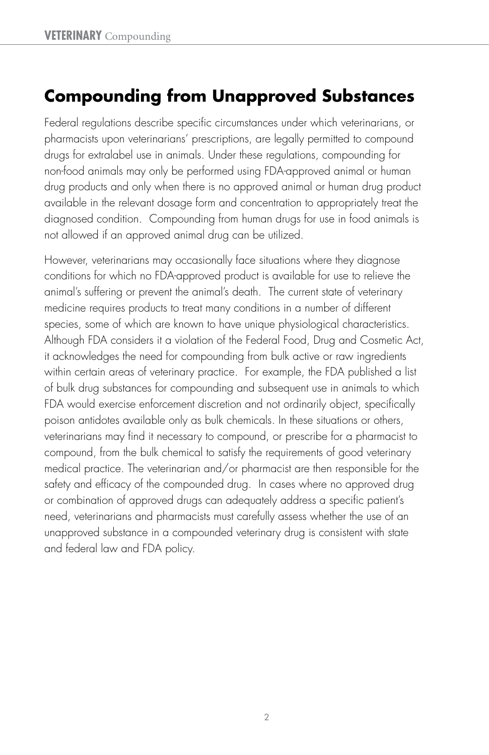# **Compounding from Unapproved Substances**

Federal regulations describe specific circumstances under which veterinarians, or pharmacists upon veterinarians' prescriptions, are legally permitted to compound drugs for extralabel use in animals. Under these regulations, compounding for non-food animals may only be performed using FDA-approved animal or human drug products and only when there is no approved animal or human drug product available in the relevant dosage form and concentration to appropriately treat the diagnosed condition. Compounding from human drugs for use in food animals is not allowed if an approved animal drug can be utilized.

However, veterinarians may occasionally face situations where they diagnose conditions for which no FDA-approved product is available for use to relieve the animal's suffering or prevent the animal's death. The current state of veterinary medicine requires products to treat many conditions in a number of different species, some of which are known to have unique physiological characteristics. Although FDA considers it a violation of the Federal Food, Drug and Cosmetic Act, it acknowledges the need for compounding from bulk active or raw ingredients within certain areas of veterinary practice. For example, the FDA published a list of bulk drug substances for compounding and subsequent use in animals to which FDA would exercise enforcement discretion and not ordinarily object, specifically poison antidotes available only as bulk chemicals. In these situations or others, veterinarians may find it necessary to compound, or prescribe for a pharmacist to compound, from the bulk chemical to satisfy the requirements of good veterinary medical practice. The veterinarian and/or pharmacist are then responsible for the safety and efficacy of the compounded drug. In cases where no approved drug or combination of approved drugs can adequately address a specific patient's need, veterinarians and pharmacists must carefully assess whether the use of an unapproved substance in a compounded veterinary drug is consistent with state and federal law and FDA policy.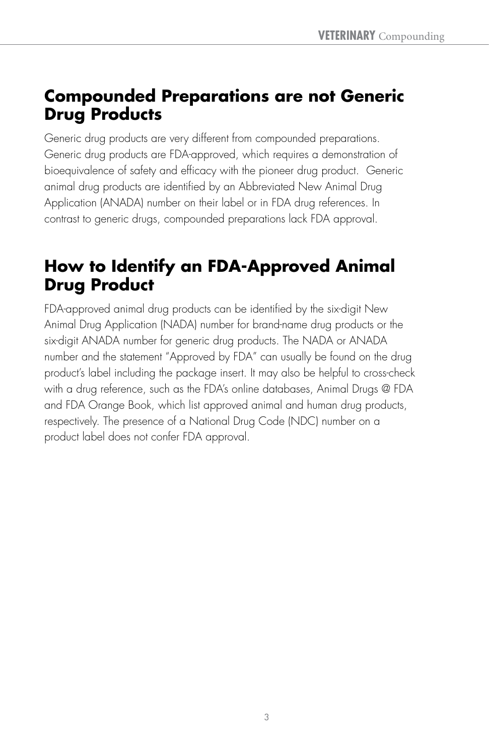## **Compounded Preparations are not Generic Drug Products**

Generic drug products are very different from compounded preparations. Generic drug products are FDA-approved, which requires a demonstration of bioequivalence of safety and efficacy with the pioneer drug product. Generic animal drug products are identified by an Abbreviated New Animal Drug Application (ANADA) number on their label or in FDA drug references. In contrast to generic drugs, compounded preparations lack FDA approval.

# **How to Identify an FDA-Approved Animal Drug Product**

FDA-approved animal drug products can be identified by the six-digit New Animal Drug Application (NADA) number for brand-name drug products or the six-digit ANADA number for generic drug products. The NADA or ANADA number and the statement "Approved by FDA" can usually be found on the drug product's label including the package insert. It may also be helpful to cross-check with a drug reference, such as the FDA's online databases, Animal Drugs @ FDA and FDA Orange Book, which list approved animal and human drug products, respectively. The presence of a National Drug Code (NDC) number on a product label does not confer FDA approval.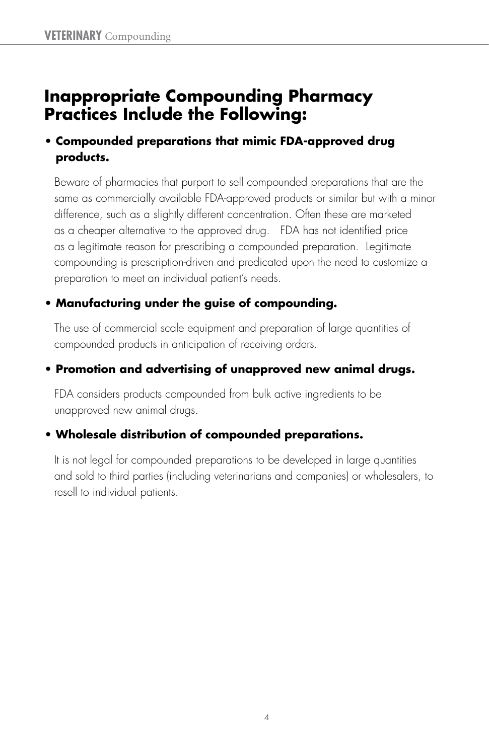## **Inappropriate Compounding Pharmacy Practices Include the Following:**

#### **• Compounded preparations that mimic FDA-approved drug products.**

 Beware of pharmacies that purport to sell compounded preparations that are the same as commercially available FDA-approved products or similar but with a minor difference, such as a slightly different concentration. Often these are marketed as a cheaper alternative to the approved drug. FDA has not identified price as a legitimate reason for prescribing a compounded preparation. Legitimate compounding is prescription-driven and predicated upon the need to customize a preparation to meet an individual patient's needs.

#### **• Manufacturing under the guise of compounding.**

 The use of commercial scale equipment and preparation of large quantities of compounded products in anticipation of receiving orders.

#### **• Promotion and advertising of unapproved new animal drugs.**

 FDA considers products compounded from bulk active ingredients to be unapproved new animal drugs.

#### **• Wholesale distribution of compounded preparations.**

 It is not legal for compounded preparations to be developed in large quantities and sold to third parties (including veterinarians and companies) or wholesalers, to resell to individual patients.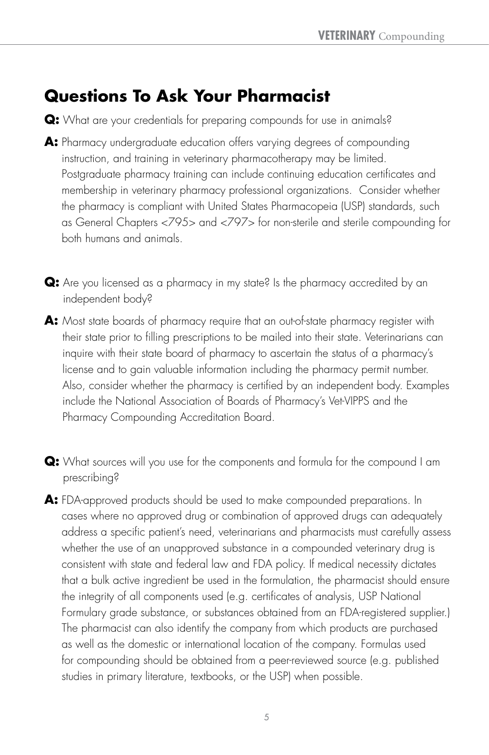# **Questions To Ask Your Pharmacist**

- **Q:** What are your credentials for preparing compounds for use in animals?
- **A:** Pharmacy undergraduate education offers varying degrees of compounding instruction, and training in veterinary pharmacotherapy may be limited. Postgraduate pharmacy training can include continuing education certificates and membership in veterinary pharmacy professional organizations. Consider whether the pharmacy is compliant with United States Pharmacopeia (USP) standards, such as General Chapters <795> and <797> for non-sterile and sterile compounding for both humans and animals.
- **Q:** Are you licensed as a pharmacy in my state? Is the pharmacy accredited by an independent body?
- **A:** Most state boards of pharmacy require that an out-of-state pharmacy register with their state prior to filling prescriptions to be mailed into their state. Veterinarians can inquire with their state board of pharmacy to ascertain the status of a pharmacy's license and to gain valuable information including the pharmacy permit number. Also, consider whether the pharmacy is certified by an independent body. Examples include the National Association of Boards of Pharmacy's Vet-VIPPS and the Pharmacy Compounding Accreditation Board.
- **Q:** What sources will you use for the components and formula for the compound I am prescribing?
- **A:** FDA-approved products should be used to make compounded preparations. In cases where no approved drug or combination of approved drugs can adequately address a specific patient's need, veterinarians and pharmacists must carefully assess whether the use of an unapproved substance in a compounded veterinary drug is consistent with state and federal law and FDA policy. If medical necessity dictates that a bulk active ingredient be used in the formulation, the pharmacist should ensure the integrity of all components used (e.g. certificates of analysis, USP National Formulary grade substance, or substances obtained from an FDA-registered supplier.) The pharmacist can also identify the company from which products are purchased as well as the domestic or international location of the company. Formulas used for compounding should be obtained from a peer-reviewed source (e.g. published studies in primary literature, textbooks, or the USP) when possible.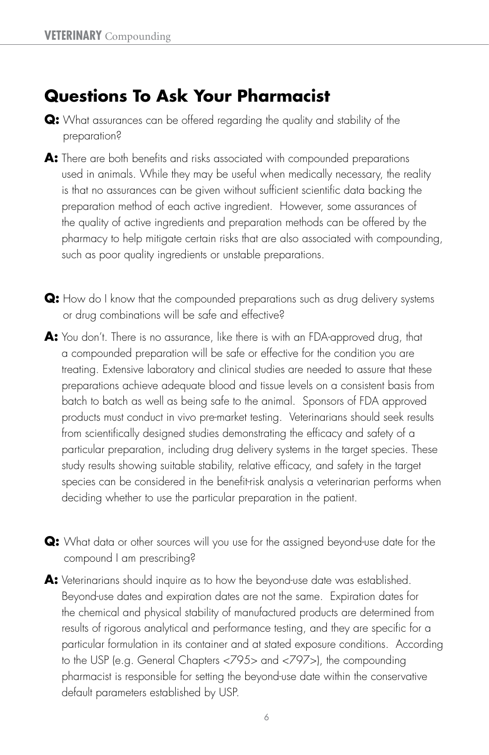## **Questions To Ask Your Pharmacist**

- **Q:** What assurances can be offered regarding the quality and stability of the preparation?
- **A:** There are both benefits and risks associated with compounded preparations used in animals. While they may be useful when medically necessary, the reality is that no assurances can be given without sufficient scientific data backing the preparation method of each active ingredient. However, some assurances of the quality of active ingredients and preparation methods can be offered by the pharmacy to help mitigate certain risks that are also associated with compounding, such as poor quality ingredients or unstable preparations.
- **Q:** How do I know that the compounded preparations such as drug delivery systems or drug combinations will be safe and effective?
- **A:** You don't. There is no assurance, like there is with an FDA-approved drug, that a compounded preparation will be safe or effective for the condition you are treating. Extensive laboratory and clinical studies are needed to assure that these preparations achieve adequate blood and tissue levels on a consistent basis from batch to batch as well as being safe to the animal. Sponsors of FDA approved products must conduct in vivo pre-market testing. Veterinarians should seek results from scientifically designed studies demonstrating the efficacy and safety of a particular preparation, including drug delivery systems in the target species. These study results showing suitable stability, relative efficacy, and safety in the target species can be considered in the benefit-risk analysis a veterinarian performs when deciding whether to use the particular preparation in the patient.
- **Q:** What data or other sources will you use for the assigned beyond-use date for the compound I am prescribing?
- **A:** Veterinarians should inquire as to how the beyond-use date was established. Beyond-use dates and expiration dates are not the same. Expiration dates for the chemical and physical stability of manufactured products are determined from results of rigorous analytical and performance testing, and they are specific for a particular formulation in its container and at stated exposure conditions. According to the USP (e.g. General Chapters <795> and <797>), the compounding pharmacist is responsible for setting the beyond-use date within the conservative default parameters established by USP.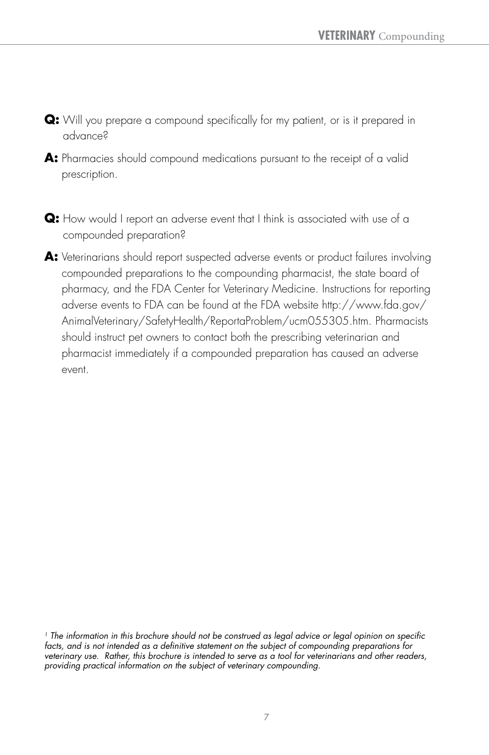- **Q:** Will you prepare a compound specifically for my patient, or is it prepared in advance?
- **A:** Pharmacies should compound medications pursuant to the receipt of a valid prescription.
- **Q:** How would I report an adverse event that I think is associated with use of a compounded preparation?
- **A:** Veterinarians should report suspected adverse events or product failures involving compounded preparations to the compounding pharmacist, the state board of pharmacy, and the FDA Center for Veterinary Medicine. Instructions for reporting adverse events to FDA can be found at the FDA website http://www.fda.gov/ AnimalVeterinary/SafetyHealth/ReportaProblem/ucm055305.htm. Pharmacists should instruct pet owners to contact both the prescribing veterinarian and pharmacist immediately if a compounded preparation has caused an adverse event.

*<sup>1</sup> The information in this brochure should not be construed as legal advice or legal opinion on specific facts, and is not intended as a definitive statement on the subject of compounding preparations for veterinary use. Rather, this brochure is intended to serve as a tool for veterinarians and other readers, providing practical information on the subject of veterinary compounding.*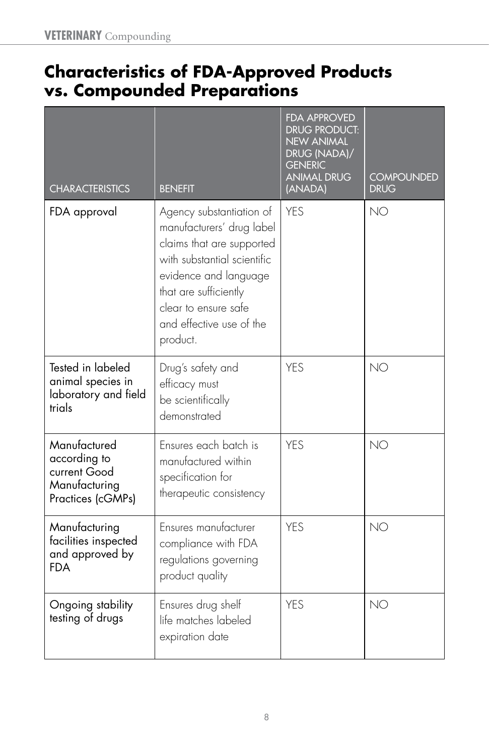## **Characteristics of FDA-Approved Products vs. Compounded Preparations**

| <b>CHARACTERISTICS</b>                                                             | <b>BENEFIT</b>                                                                                                                                                                                                                      | <b>FDA APPROVED</b><br>DRUG PRODUCT:<br><b>NEW ANIMAL</b><br>DRUG (NADA)/<br><b>GENERIC</b><br><b>ANIMAL DRUG</b><br>(ANADA) | <b>COMPOUNDED</b><br><b>DRUG</b> |
|------------------------------------------------------------------------------------|-------------------------------------------------------------------------------------------------------------------------------------------------------------------------------------------------------------------------------------|------------------------------------------------------------------------------------------------------------------------------|----------------------------------|
| FDA approval                                                                       | Agency substantiation of<br>manufacturers' drug label<br>claims that are supported<br>with substantial scientific<br>evidence and language<br>that are sufficiently<br>clear to ensure safe<br>and effective use of the<br>product. | <b>YES</b>                                                                                                                   | <b>NO</b>                        |
| Tested in labeled<br>animal species in<br>laboratory and field<br>trials           | Drug's safety and<br>efficacy must<br>be scientifically<br>demonstrated                                                                                                                                                             | <b>YES</b>                                                                                                                   | <b>NO</b>                        |
| Manufactured<br>according to<br>current Good<br>Manufacturing<br>Practices (cGMPs) | Ensures each batch is<br>manufactured within<br>specification for<br>therapeutic consistency                                                                                                                                        | <b>YES</b>                                                                                                                   | NO                               |
| Manufacturing<br>facilities inspected<br>and approved by<br><b>FDA</b>             | Ensures manufacturer<br>compliance with FDA<br>regulations governing<br>product quality                                                                                                                                             | <b>YES</b>                                                                                                                   | <b>NO</b>                        |
| Ongoing stability<br>testing of drugs                                              | Ensures drug shelf<br>life matches labeled<br>expiration date                                                                                                                                                                       | <b>YES</b>                                                                                                                   | NO                               |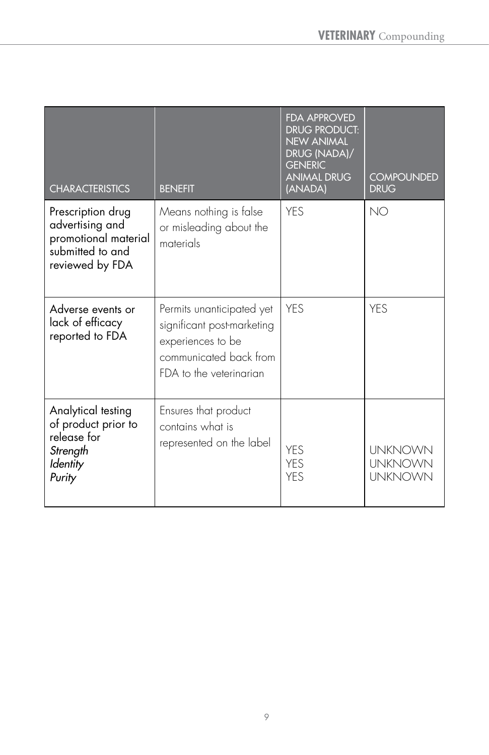| <b>CHARACTERISTICS</b>                                                                              | <b>BENEFIT</b>                                                                                                                    | <b>FDA APPROVED</b><br><b>DRUG PRODUCT:</b><br><b>NEW ANIMAL</b><br>DRUG (NADA)/<br><b>GENERIC</b><br><b>ANIMAL DRUG</b><br>(ANADA) | <b>COMPOUNDED</b><br><b>DRUG</b>                   |
|-----------------------------------------------------------------------------------------------------|-----------------------------------------------------------------------------------------------------------------------------------|-------------------------------------------------------------------------------------------------------------------------------------|----------------------------------------------------|
| Prescription drug<br>advertising and<br>promotional material<br>submitted to and<br>reviewed by FDA | Means nothing is false<br>or misleading about the<br>materials                                                                    | <b>YES</b>                                                                                                                          | <b>NO</b>                                          |
| Adverse events or<br>lack of efficacy<br>reported to FDA                                            | Permits unanticipated yet<br>significant post-marketing<br>experiences to be<br>communicated back from<br>FDA to the veterinarian | <b>YFS</b>                                                                                                                          | <b>YFS</b>                                         |
| Analytical testing<br>of product prior to<br>release for<br>Strength<br>Identity<br>Purity          | Ensures that product<br>contains what is<br>represented on the label                                                              | YES<br><b>YES</b><br><b>YFS</b>                                                                                                     | <b>UNKNOWN</b><br><b>UNKNOWN</b><br><b>UNKNOWN</b> |